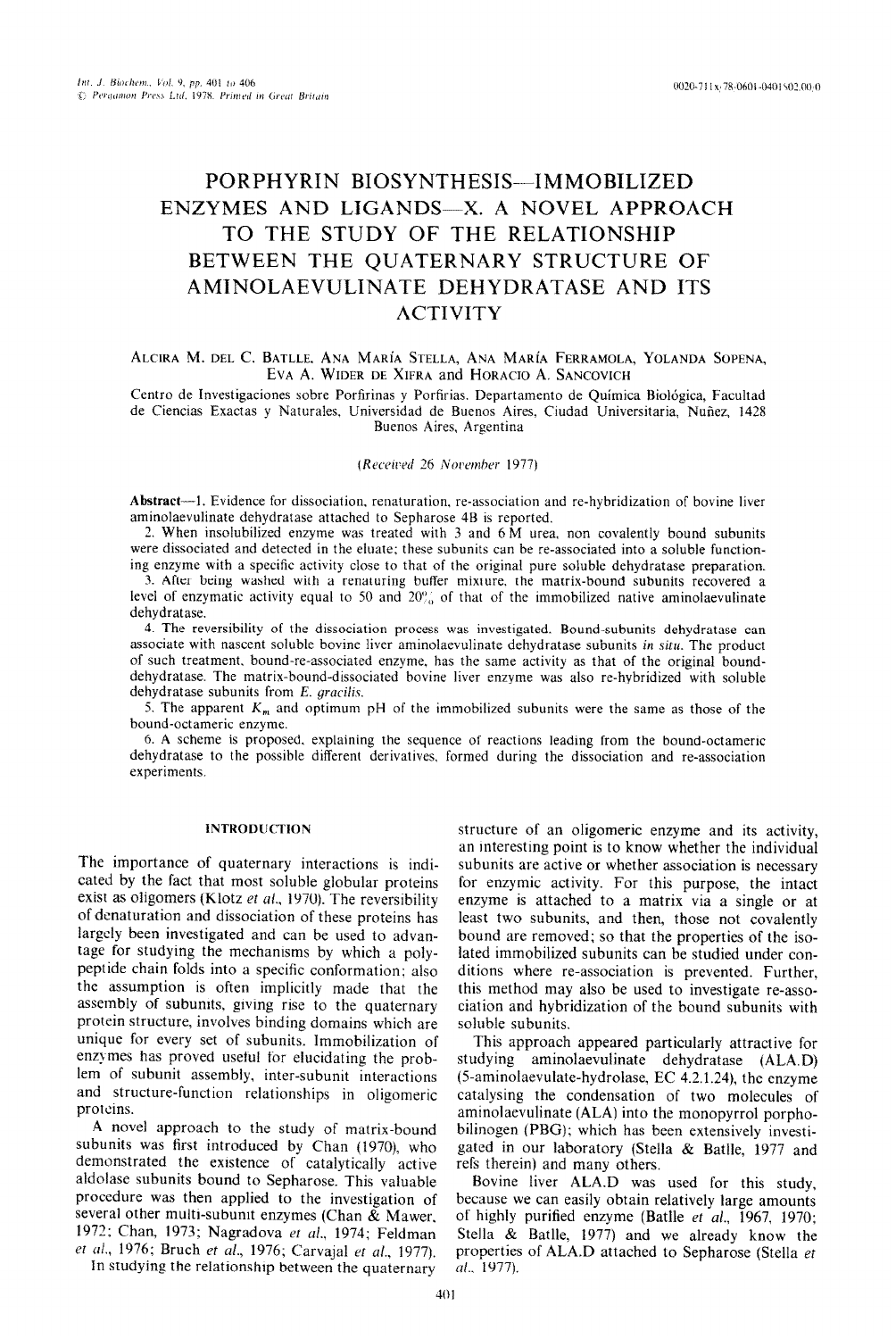# PORPHYRIN BIOSYNTHESIS-IMMOBILIZED ENZYMES AND LIGANDS-X. A NOVEL APPROACH TO THE STUDY OF THE RELATIONSHIP BETWEEN THE QUATERNARY STRUCTURE OF AMINOLAEVULINATE DEHYDRATASE AND ITS ACTIVITY

# ALCIRA M. DEL C. BATLLE, ANA MARÍA STELLA, ANA MARÍA FERRAMOLA, YOLANDA SOPENA, EVA A. WIDER DE XIFRA and HORACIO A. SANCOVICH

Centro de Investigaciones sobre Porfirinas y Porfirias. Departamento de Química Biológica, Facultad de Ciencias Exactas y Naturales, Universidad de Buenos Aires, Ciudad Universitaria, Nufiez, 1428 Buenos Aires, Argentina

(Received 26 November 1977)

**Abstract-- I.** Evidence for dissociation. renaturation, re-association and re-hybridization of bovine liver aminolaevulinate dehydratase attached to Sepharose 48 is reported.

2. When insolubilized enzyme was treated with 3 and 6 M urea. non covalently bound subunits were dissociated and detected in the eluate; these subunits can be re-associated into a soluble functioning enzyme with a specific activity close to that of the original pure soluble dehydratase preparation.

3. After being washed with a renaturing buffer mixture. the matrix-bound subunits recovered a level of enzymatic activity equal to 50 and  $20\%$  of that of the immobilized native aminolaevulinate dehydratase.

4. The reversibility of the dissociation process was investigated. Bound-subunits dehydratase can associate with nascent soluble bovine liver aminolaevulinate dehydratase subunits in situ. The product of such treatment, bound-re-associated enzyme, has the same activity as that of the original bounddehydratase. The matrix-bound-dissociated bovine liver enzyme was also re-hybridized with soluble dehydratase subunits from E. gracilis.

5. The apparent  $K_m$  and optimum pH of the immobilized subunits were the same as those of the bound-octameric enzyme.

6. A scheme is proposed. explaining the sequence of reactions leading from the bound-octameric dehydratase to the possible different derivatives, formed during the dissociation and re-association experiments

## INTRODUCTION

The importance of quaternary interactions is indicated by the fact that most soluble globular proteins exist as oligomers (Klotz et al., 1970). The reversibility of dcnaturation and dissociation of these proteins has largely been investigated and can be used to advantage for studying the mechanisms by which a polypeptide chain folds into a specific conformation: also the assumption is often implicitly made that the assembly of subunits, giving rise to the quaternary protein structure, involves binding domains which are unique for every set of subunits. Immobilization of enzymes has proved useful for elucidating the problem of subunit assembly, inter-subunit interactions and structure-function relationships in oligomeric proteins.

A novel approach to the study of matrix-bound subunits was first introduced by Chan (1970). who demonstrated the existence of catalytically active aldolase subunits bound to Sepharose. This valuable procedure was then applied to the investigation of several other multi-subunit enzymes (Chan  $&$  Mawer, 1972; Chan, 1973; Nagradova et al., 1974; Feldman et al., 1976; Bruch et al., 1976; Carvajal et al., 1977).

In studying the relationship between the quaternary

structure of an oligomeric enzyme and its activity, an interesting point is to know whether the individual subunits are active or whether association is necessary for enzymic activity. For this purpose, the intact enzyme is attached to a matrix via a single or at least two subunits, and then, those not covalently bound are removed; so that the properties of the isolated immobilized subunits can be studied under conditions where re-association is prevented. Further, this method may also be used to investigate re-association and hybridization of the bound subunits with soluble subunits.

This approach appeared particularly attractive for studying aminolaevulinate dehydratase (ALA.D) (5-aminolaevulate-hydrolase, EC 4.2.1.24), the enzyme catalysing the condensation of two molecules of aminolaevulinate (ALA) into the monopyrrol porphobilinogen (PBG); which has been extensively investigated in our laboratory (Stelia & Batlle, 1977 and refs therein) and many others.

Bovine liver ALA.D was used for this study, because we can easily obtain relatively large amounts of highly purified enzyme (Batlle et al., 1967, 1970; Stella & Batlle, 1977) and we already know the properties of ALA.D attached to Sepharose (Stella et al., 1977).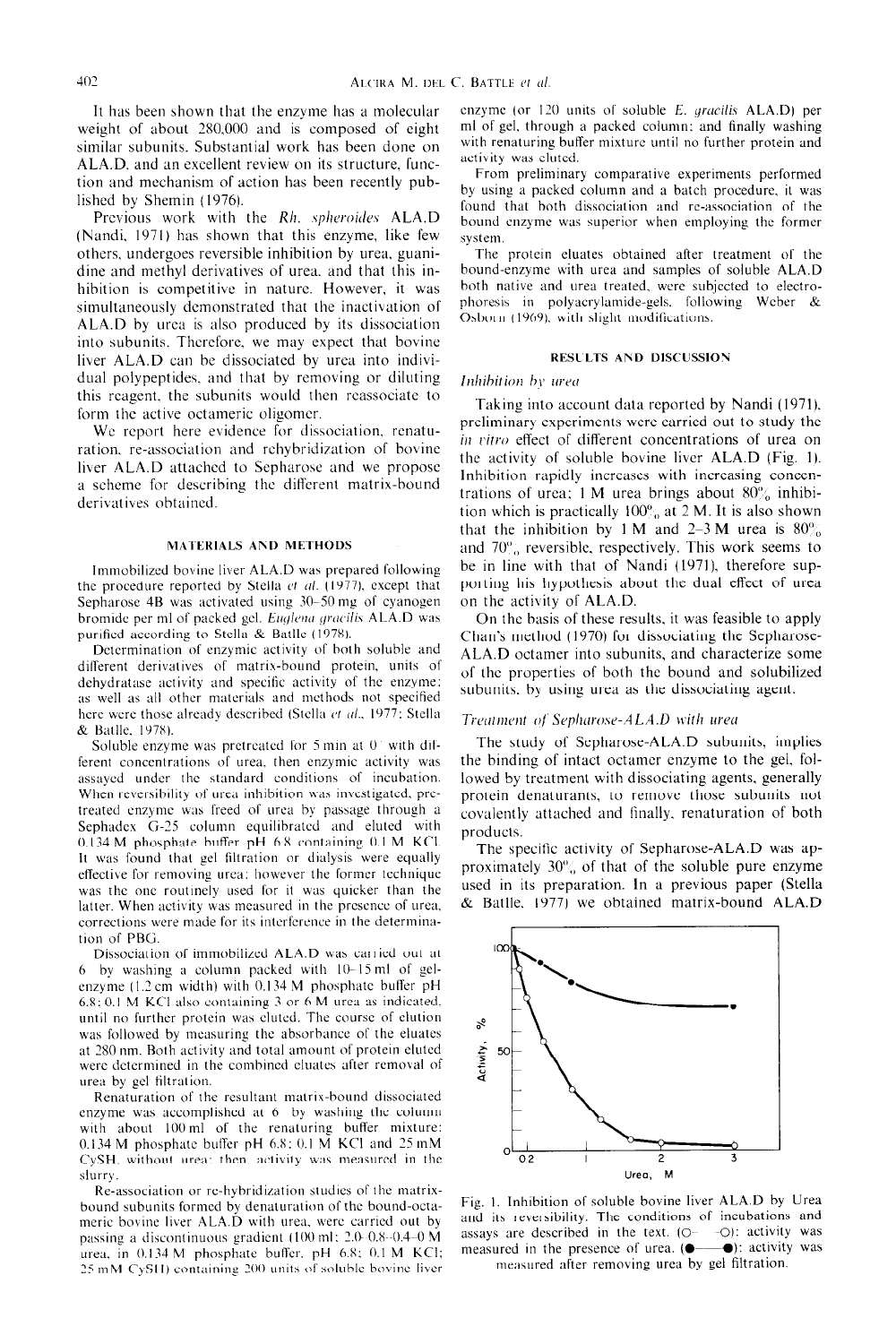It has been shown that the enzyme has a molecular weight of about 2X0.000 and is composed of eight similar subunits. Substantial work has been done on ALA.D. and an excellent review on its structure. function and mechanism of action has been recently published by Shemin (1976).

Previous work with the Rh. spheroides ALA.D (Nandi. 1971) has shown that this enzyme, like few others. undergoes reversible inhibition by urea. guanidine and methyl derivatives of urea. and that this inhibition is competitive in nature. However. it was simultaneously demonstrated that the inactivation of ALA.D by urea is also produced by its dissociation into subunits. Thcrcfore. we may expect that bovine liver ALA.D can be dissociated by urea into individual polypeptides. and that by removing or diluting this reagent. the subunits would then reassociate to form the active octameric oligomer.

We report here evidence for dissociation, renaturation. re-association and rehybridization of bovine liver ALA.D attached to Sepharose and we propose a scheme for describing the different matrix-bound derivatives obtained.

#### **MATERIALS AND METHODS**

Immobilized bovine liver ALA.D wa\ prepared following the procedure reported by Stella et al. (1977), except that Sepharose  $4B$  was activated using  $30-50$  mg of cyanogen bromide per ml of packed gel. *Euglena gracilis* ALA.D was purified according to Stella & Batlle (1978).

Determination of enzymic activity of both soluble and different derivatives of matrix-bound protein, units of dehydratase activity and specific activity of the enzyme; as well as all other materials and methods not specified here were those already described (Stella et al., 1977; Stella & Ballle. lY7XI.

Soluble enzyme was pretreated for  $5$  min at  $0<sup>3</sup>$  with different concentrations of urea, then enzymic activity was assayed under the standard conditions of incubation. When reversibility of urea inhibition was investigated, pretreated enzyme was freed of urea by passage through a Sephadcx G-35 column equilibrated and eluted with 0.134 M phosphate buffer pH 6.X containing 0.1 M KCI. It was found that gel filtration or dialysis were equally effective for removing urea: however the former technique was the one routinely used for it was quicker than the latter. When activity was measured in the prcscncc of urea, corrections were made for its interference in the determina**t1on** of PRG.

Dissociation of immobilized ALA.D was carried out at  $6$  by washing a column packed with  $10-15$  ml of gelenzyme (I.2 cm width) with 0.134 M phosphate buffer pH 6.8: 0.1 M KCI alho contaming 3 or 6 M urea as indicated. until no further protein was clutcd. The course of elution was followed by measuring the absorbance of the eluates at 280 nm. Both activity and total amount of protein clutcd were determined in the combined cluates after removal of urea by gel filtralion.

Renaturation of the resultant matrix-bound dissociated enzyme was accomplished at 6 by washing the column with about 100 ml of the renaturing buffer mixture: 0.134 M phosphate buffer pH  $6.8:0.1 \text{ M}$  KCI and 25 mM CySH, without urea: then. activity was measured in the slurry.

Re-association or re-hybridization studies of the matrixbound subumts formed by denaturation of the bound-octameric bovine liver ALA.D with urea, were carried out by passing a discontinuous gradient (100 ml: 2.0 -0.8 -0.4 -0 M urea. in  $0.134$  M phosphate buffer. pH  $6.8$ :  $0.1$  M KCI;  $25 \text{ mM CySH}$ ) containing  $200$  units of soluble bovine liver enzyme (or 120 units of soluble E. gracilis ALA.D) per ml of gel, through a packed column: and finally washing with renaturing butfer mixture until no further protein and activity was eluted.

From preliminary comparative experiments performed by using a packed column and a batch procedure. it was found that both dissociation and rc-association of the bound enzyme was superior when employing the former system.

The protein eluates obtained after treatment of the bound-enzyme with urea and samples of soluble ALA.D both native and urea treated. were subjected to electrophoresis in polyacrylamide-gels. following Wcber & Osborn (1969). with slight modifications.

#### **RESl LTS AND DISCUSSION**

#### Inhibition by urea

Taking into account data reported by Nandi (1971). preliminary experiments were carried out to study the in vitro effect of different concentrations of urea on the activity of soluble bovine liver ALA.D (Fig. 1). Inhibition rapidly increases with increasing concentrations of urea; 1 M urea brings about  $80\%$  inhibition which is practically  $100\%$  at 2 M. It is also shown that the inhibition by 1 M and 2-3 M urea is  $80\%$ and  $70\%$  reversible, respectively. This work seems to be in line with that of Nandi (1971), therefore supporting his hypothesis about the dual effect of urea on the activity of ALA.D.

On the basis of these results. it was feasible to apply Ghan's method (1970) for dissociating the Sepharose-ALA.D octamer into subunits, and characterize some of the properties of both the bound and solubilized subunits. by using urea as the dissociating agent.

## Treatment of Sepharose-ALA.D with urea

The study of Sepharose-ALA.D subunits, implies the binding of intact octamer enzyme to the gel. followed by treatment with dissociating agents, generally protein denaturants, to remove those subunits not covalently attached and finally. renaturation of both products.

The specific activity of Sepharose-ALA.D was approximately  $30\%$  of that of the soluble pure enzyme **used** in its preparation. In a previous paper (Stella & Rattle. 1977) we obtained matrix-bound ALA.D



Fig. 1. Inhibition of soluble bovine liver ALA.D by Urea and its reversibility. The conditions of incubations and assays are described in the text.  $(O = -O)$ : activity was measured in the presence of urea.  $(\bullet \rightarrow \bullet)$ : activity was measured after removing urea by gel filtration.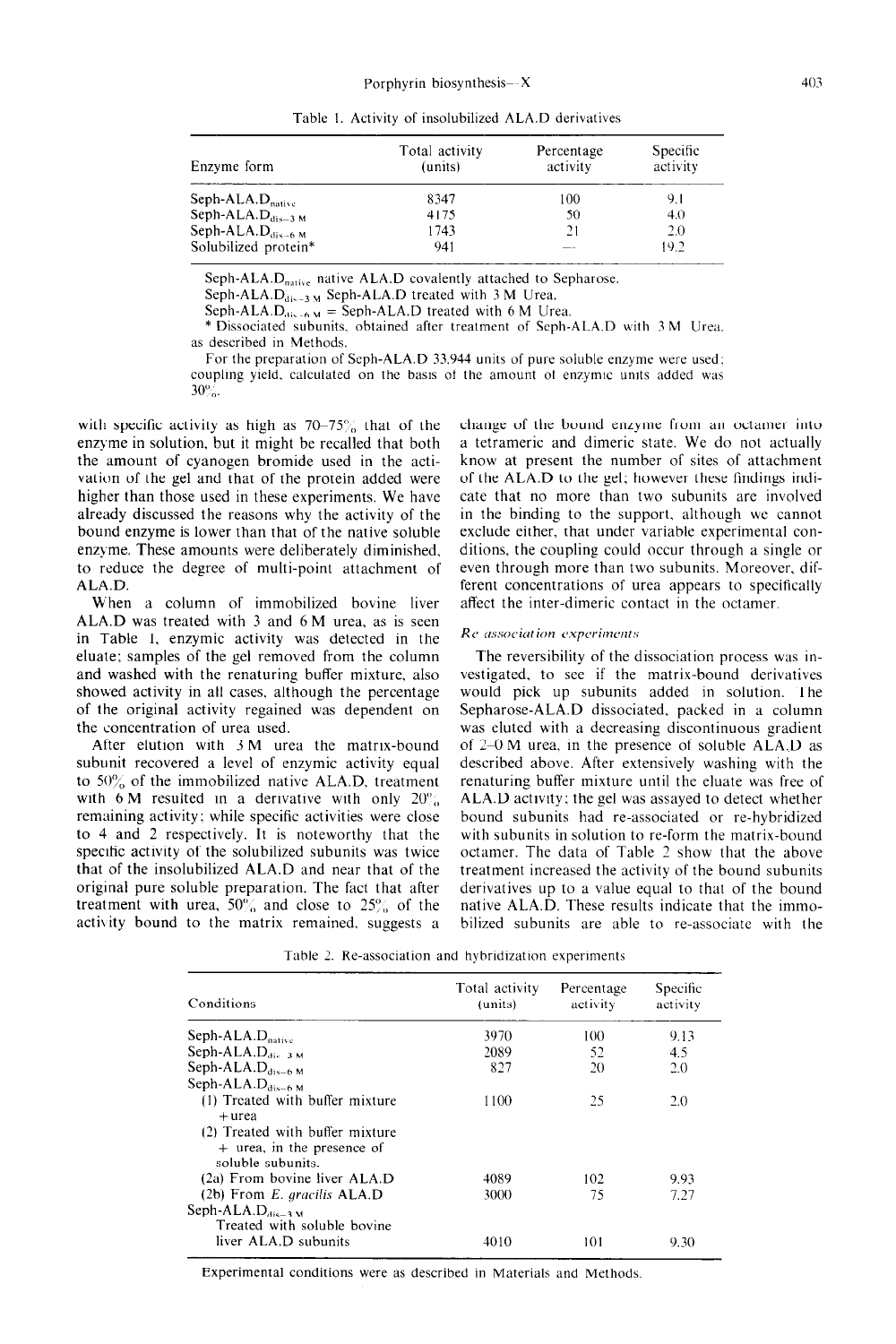Table I. Activity of insolubilized ALA.D derivatives

| Enzyme form                   | Total activity<br>(units) | Percentage<br>activity | Specific<br>activity |
|-------------------------------|---------------------------|------------------------|----------------------|
| Seph-ALA. $D_{\text{native}}$ | 8347                      | 100                    | 9.1                  |
| Seph-ALA. $D_{dis-3 M}$       | 4175                      | 50                     | 4.0                  |
| Seph-ALA $D_{dis-6 M}$        | 1743                      | 21                     | 2.0                  |
| Solubilized protein*          | 941                       |                        | 19.2                 |

Seph-ALA. $D<sub>native</sub>$  native ALA.D covalently attached to Sepharose.

Seph-ALA. $D_{dis-3 M}$  Seph-ALA.D treated with 3 M Urea.

Seph-ALA. $D_{dis-6,M}$  = Seph-ALA.D treated with 6 M Urea.

\* Dissociated subunits. obtained after treatment of Seph-ALA.D with 3 M Urea. as described in Methods.

For the preparation of Seph-ALA.D 33.944 units of pure soluble enzyme were used: coupling yield, calculated on the basis of the amount of enzymic units added was  $30\%$ .

with specific activity as high as  $70-75\%$  that of the enzyme in solution. but it might be recalled that both the amount of cyanogen bromide used in the activation of the gel and that of the protein added were higher than those used in these experiments. We have already discussed the reasons why the activity of the bound enzyme is lower than that of the native soluble enzyme. These amounts were deliberately diminished, to reduce the degree of multi-point attachment of ALA.D.

When a column of immobilized bovine liver ALA.D was treated with 3 and 6 M urea, as is seen in Table 1, enzymic activity was detected in the eluate; samples of the gel removed from the column and washed with the renaturing buffer mixture, also showed activity in all cases, although the percentage of the original activity regained was dependent on the concentration of urea used.

After elution with 3 M urea the matrix-bound subunit recovered a level of enzymic activity equal to  $50\%$  of the immobilized native ALA.D, treatment with 6 M resulted in a derivative with only  $20\%$ , remaining activity: while specific activities were close to 4 and 2 respectively. It is noteworthy that the specific activity of the solubilized subunits was twice that of the insolubilized ALA.D and near that of the original pure soluble preparation. The fact that after treatment with urea,  $50\%$  and close to  $25\%$  of the activity bound to the matrix remained. suggests a

change of the bound enzyme from an octamer into a tetrameric and dimeric state. We do not actually know at present the number of sites of attachment of the ALA.D to the gel; however these findings indicate that no more than two subunits are involved in the binding to the support, although wc cannot exclude either, that under variable experimental conditions. the coupling could occur through a single or even through more than two subunits. Moreover, different concentrations of urea appears to specifically affect the inter-dimeric contact in the octamer.

#### *Rt,-a.s.socicrrion e.xpcritwwt,s*

The reversibility of the dissociation process was investigated. to see if the matrix-bound derivatives would pick up subunits added in solution. The Sepharose-ALA.D dissociated. packed in a column was eluted with a decreasing discontinuous gradient of 2-O M urea, in the presence of soluble ALA.D as described above. After extensively washing with the renaturing buffer mixture until the eluate was free of ALA.D activity; the gel was assayed to detect whether bound subunits had re-associated or re-hybridized with subunits in solution to re-form the matrix-bound octamer. The data of Table 2 show that the above treatment increased the activity of the bound subunits derivatives up to a value equal to that of the bound native ALA.D. These results indicate that the immobilized subunits are able to re-associate with the

| Conditions                                                                   | Total activity<br>(units) | Percentage<br>activity | Specific<br>activity |
|------------------------------------------------------------------------------|---------------------------|------------------------|----------------------|
| Seph-ALA. $D_{\text{naitive}}$                                               | 3970                      | 100                    | 9.13                 |
| Seph-ALA. $D_{\text{disc-3-M}}$                                              | 2089                      | 52                     | 4.5                  |
| Seph-ALA. $D_{dis-6 M}$                                                      | 827                       | 20                     | 2.0                  |
| Seph-ALA. $D_{dis-6 M}$                                                      |                           |                        |                      |
| (1) Treated with buffer mixture<br>+ urea<br>(2) Treated with buffer mixture | 1100                      | 25                     | 2.0                  |
| + urea, in the presence of<br>soluble subunits.                              |                           |                        |                      |
| (2a) From bovine liver ALA.D                                                 | 4089                      | 102                    | 9.93                 |
| $(2b)$ From E. gracilis ALA.D                                                | 3000                      | 75                     | 7.27                 |
| Seph-ALA.D $_{dis-3 M}$<br>Treated with soluble bovine                       |                           |                        |                      |
| liver ALA.D subunits                                                         | 4010                      | 101                    | 9.30                 |

Table 2. Re-association and hybridization experiments

Experimental conditions were as described in Materials and Methods.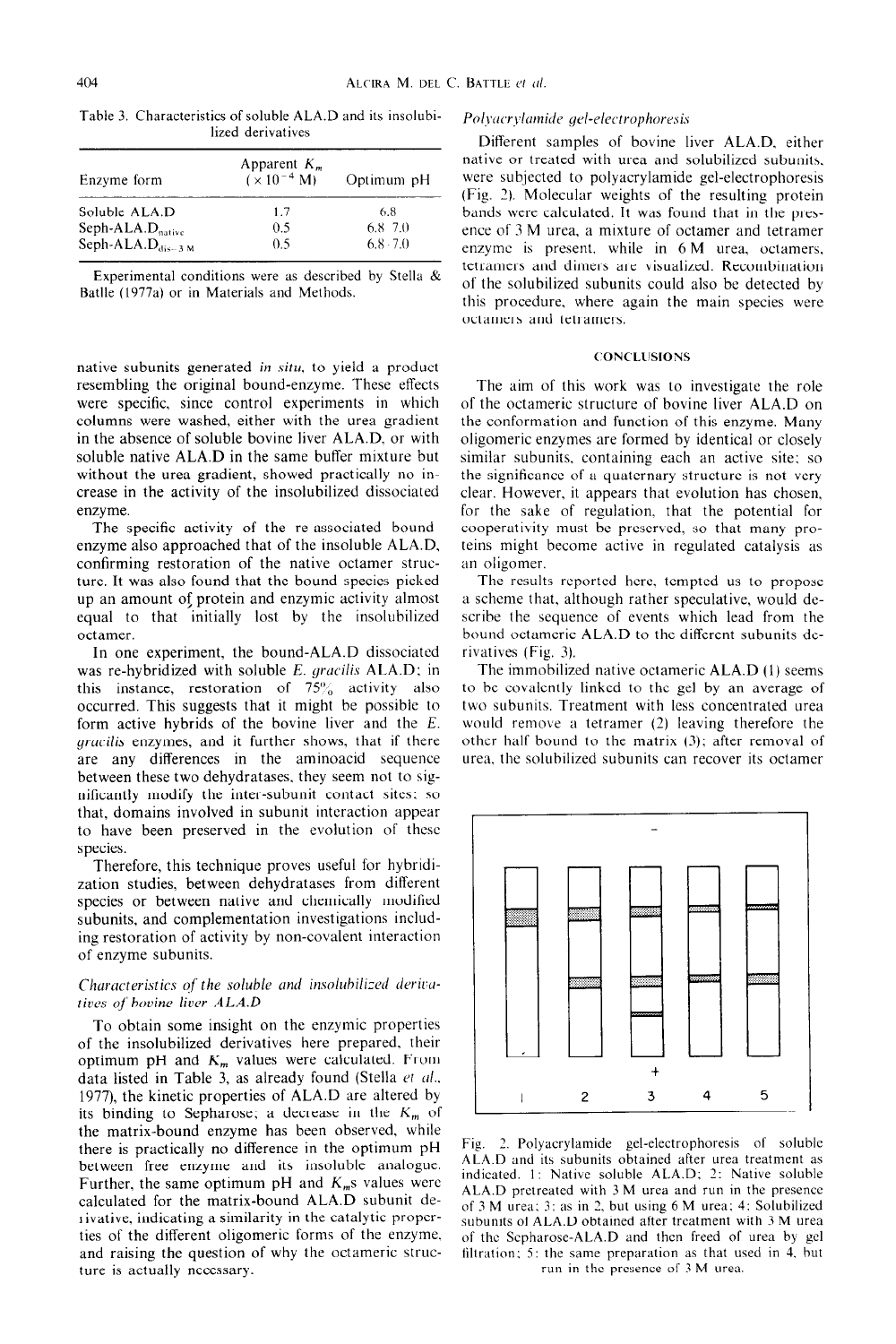| Enzyme form                    | Apparent $K_m$<br>$(x 10^{-4} M)$ | Optimum pH  |
|--------------------------------|-----------------------------------|-------------|
| Soluble ALA.D                  | 1.7                               | 6.8         |
| Seph-ALA. $D_{\text{naitive}}$ | O 5                               | 6.8 7.0     |
| Seph-ALA. $D_{dis-3 M}$        | 0.5                               | $6.8 - 7.0$ |

Table 3. Characteristics of soluble ALA.D and its insolubilized derivatives

Experimental conditions were as described by Stella  $\&$ Batlle (1977a) or in Materials and Methods.

native subunits generated in situ, to yield a product resembling the original bound-enzyme. These effects were specific, since control experiments in which columns were washed, either with the urea gradient in the absence of soluble bovine liver ALA.D. or with soluble native ALA.D in the same buffer mixture but without the urea gradient, showed practically no increase in the activity of the insolubilized dissociated enzyme.

The specific activity of the re-associated boundenzyme also approached that of the insoluble ALA.D. confirming restoration of the native octamer structure. It was also found that the bound species picked up an amount 05 protein and enzymic activity almost equal to that initially lost by the insolubilized octamer.

In one experiment, the bound-ALA.D dissociated was re-hybridized with soluble *E. graciks* ALA.D; in this instance, restoration of  $75\%$  activity also occurred. This suggests that it might be possible to form active hybrids of the bovine liver and the *E. grucilis* enzymes, and it further shows, that if there are any differences in the aminoacid sequence between these two dehydratases. they seem not to significantly modify the inter-subunit contact sites: so that, domains involved in subunit interaction appear to have been preserved in the evolution of these species.

Therefore, this technique proves useful for hybridization studies, between dehydratases from different species or between native and chemically modified subunits, and complementation investigations including restoration of activity by non-covalent interaction of enzyme subunits.

## **Characteristics of the soluble and insolubilized derivarices** *oj'hovine liver ALA.D*

To obtain some insight on the enzymic properties of the insolubilized derivatives here prepared, their optimum pH and  $K_m$  values were calculated. From data listed in Table 3, as already found (Stella  $et$   $al.$ , 1977), the kinetic properties of ALA.D are altered by its binding to Sepharose; a decrease in the  $K_m$  of the matrix-bound enzyme has been observed, while there is practically no difference in the optimum pH between free enzyme and its insoluble analogue. Further, the same optimum pH and  $K_m$ s values were calculated for the matrix-bound ALA.D subunit derivative, indicating a similarity in the catalytic properties of the different oligomeric forms of the enzyme. and raising the question of why the octameric structure is actually necessary.

#### Polyacrylamide gel-electrophoresis

Different samples of bovine liver ALA.D. either native or treated with urea and solubilized subunits. were subjected to polyacrylamide gel-electrophoresis (Fig. 2). Molecular weights of the resulting protein bands were calculated. It was found that in the presence of 3 M urea, a mixture of octamer and tetramer enzyme is present. while in 6 M urea, octamers, tetramers and dimers are visualized. Recombination of the solubilized subunits could also be detected by this procedure. where again the main species were octamers and tetramers.

## **CONC'LCISIONS**

The aim of this work was to investigate the role of the octameric structure of bovine liver ALA.D on the conformation and function of this enzyme. Many oligomeric enzymes are formed by identical or closely similar subunits. containing each an active site: so the significance of a quaternary structure is not very clear. However. it appears that evolution has chosen, for the sake of regulation. that the potential for cooperativity must be preserved, so that many proteins might become active in regulated catalysis as an oligomer.

The results reported here. tempted us to propose a scheme that, although rather speculative, would describe the sequence of events which lead from the bound octameric ALA.D to the different subunits derivatives (Fig. 3).

The immobilized native octameric ALA.D (1) seems to be covalently linked to the gel by an average of two subunits. Treatment with less concentrated urea would remove a tetramer (2) leaving therefore the other half bound to the matrix (3): after removal of urea. the solubilized subunits can recover its octamer



Fig. 2. Polyacrylamide gel-electrophoresis of soluble ALA.D and its subunits obtained after urea treatment as indicated. 1: Native soluble ALA.D; 2: Native soluble ALA.D pretreated with 3 M urea and run in the presence of 3 M urea: 3: as in 2. but using 6 M urea: 4: Solubilized subunits of ALA.D obtained after treatment with 3 M urea of the Scpharose-ALA.D and then freed of urea by gel filtration: 5: the same preparation as that used in 4. but run in the presence of 3 M urea.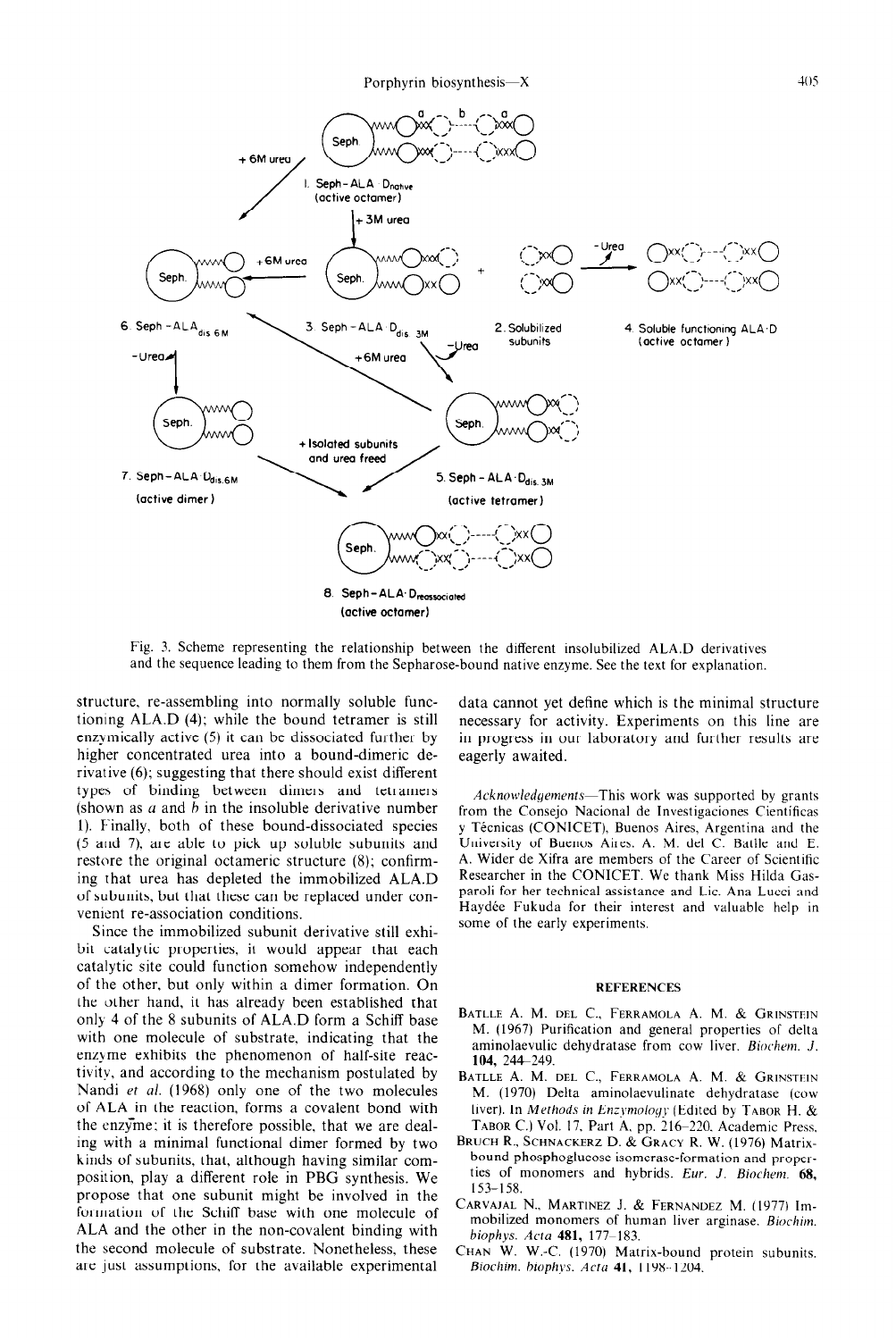

Fig. 3. Scheme representing the relationship between the different insolubilized ALA.D derivatives and the sequence leading to them from the Sepharose-bound native enzyme. See the text for explanation.

**structure,** re-assembling into normally soluble functioning ALA.D  $(4)$ ; while the bound tetramer is still enzymically active (5) it can be dissociated further by higher concentrated urea into a bound-dimeric derivative (6); suggesting that there should exist different types of binding between dimers and tetramers (shown as  $a$  and  $b$  in the insoluble derivative number 1). Finally, both of these bound-dissociated species (5 and 7). are able to pick up soluble subunits and restore the original octameric structure (8); confirming that urea has depleted the immobilized ALA.D of subunits, but that these can be replaced under convenicnt re-association conditions.

Since the immobilized subunit derivative still exhibit catalytic properties, it would appear that each catalytic site could function somehow independently of the other, but only within a dimer formation. On the other hand, it has already been established that only 4 of the 8 subunits of ALA.D form a Schiff base with one molecule of substrate. indicating that the enzyme exhibits the phenomenon of half-site reactivity, and according to the mechanism postulated by Nandi et al. (1968) only one of the two molecules of ALA in the reaction, forms a covalent bond with the enzyme: it is therefore possible, that we are dealing with a minimal functional dimer formed by two kinds of subunits, that, although having similar composition, play a different role in PBG synthesis. We propose that one subunit might be involved in the formation of the Schiff base with one molecule of ALA and the other in the non-covalent binding with the second molecule of substrate. Nonetheless, these are just assumptions, for the available experimental

data cannot yet define which is the minimal structure necessary for activity. Experiments on this line are in progress in our laboratory and further results are eagerly awaited.

Acknowledgements—This work was supported by grants from the Consejo Nacional de Investigaciones Científicas y Técnicas (CONICET), Buenos Aires, Argentina and the University of Buenos Aires. A. M. del C. Batlle and E. A. Wider de Xifra are members of the Career of Scientific Researcher in the CONICET. We thank Miss Hilda Gasparoli for her technical assistance and Lic. Ana Lucci and Haydée Fukuda for their interest and valuable help in some of the early experiments.

#### **REFERENCES**

- BATLLE A. M. DEL C., FERRAMOLA A. M. & GRINSTEIN M. (1967) Purification and general properties of delta aminolaevulic dehydratase from cow liver. Biochem. J. 104, 244–249
- BATLLE A. M. DEL C., FERRAMOLA A. M. & GRINSTEIN M. (1970) Delta aminolaevulinate dehydratase (cow liver). In *Methods in Enzymology* (Edited by TABOR H. & TABOR C.) Vol. 17, Part A, pp. 216-220. Academic Press.
- BRUCH R., SCHNACKERZ D. & GRACY R. W. (1976) Matrixbound phosphoglucose isomerase-formation and properties of monomers and hybrids. *Eur. J. Biochem.* 68, 153-158.
- CARVAJAL N., MARTINEZ J. & FERNANDEZ M. (1977) Immobilized monomers of human liver arginase. *Biochim.*  biophys. *Acra* 481, 177-183.
- CHAN W. W.-C. (1970) Matrix-bound protein subunits. Biochim. biophys. Acta 41, 1198-1204.